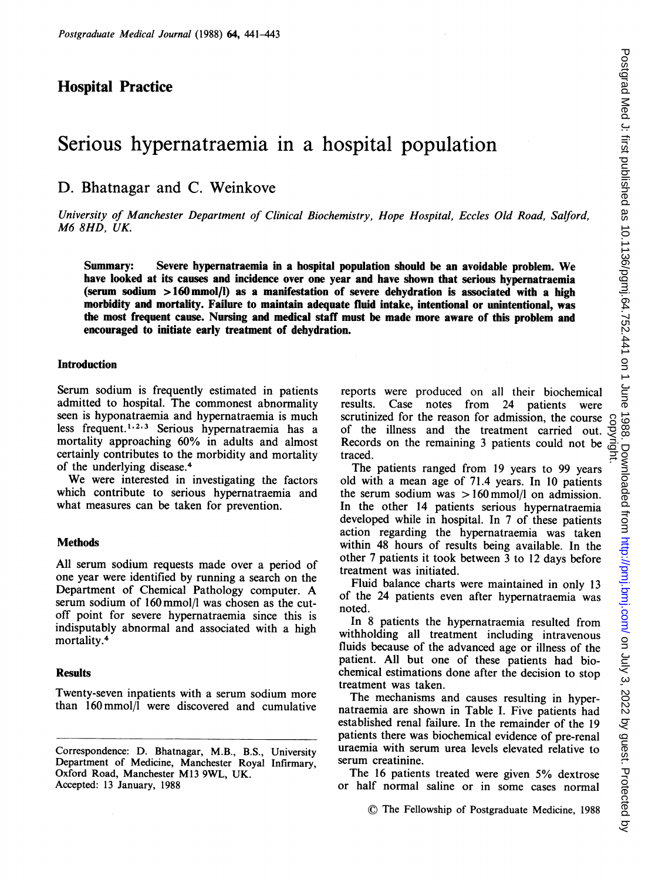# Hospital Practice

# Serious hypernatraemia in a hospital population

# D. Bhatnagar and C. Weinkove

University of Manchester Department of Clinical Biochemistry, Hope Hospital, Eccles Old Road, Salford, M6 8HD, UK.

Summary: Severe hypernatraemia in <sup>a</sup> hospital population should be an avoidable problem. We have looked at its causes and incidence over one year and have shown that serious hypernatraemia (serum sodium >160mmol/l) as a manifestation of severe dehydration is associated with a high morbidity and mortality. Failure to maintain adequate fluid intake, intentional or unintentional, was the most frequent cause. Nursing and medical staff must be made more aware of this problem and encouraged to initiate early treatment of dehydration.

# Introduction

Serum sodium is frequently estimated in patients admitted to hospital. The commonest abnormality seen is hyponatraemia and hypernatraemia is much less frequent.<sup>1,2,3</sup> Serious hypernatraemia has a mortality approaching 60% in adults and almost certainly contributes to the morbidity and mortality of the underlying disease.4

We were interested in investigating the factors which contribute to serious hypernatraemia and what measures can be taken for prevention.

#### **Methods**

All serum sodium requests made over <sup>a</sup> period of one year were identified by running a search on the Department of Chemical Pathology computer. A serum sodium of 160mmol/l was chosen as the cutoff point for severe hypernatraemia since this is indisputably abnormal and associated with <sup>a</sup> high mortality.4

### **Results**

Twenty-seven inpatients with a serum sodium more than 160mmol/l were discovered and cumulative

Correspondence: D. Bhatnagar, M.B., B.S., University Department of Medicine, Manchester Royal Infirmary, Oxford Road, Manchester M13 9WL, UK. Accepted: 13 January, 1988

reports were produced on all their biochemical<br>results. Case notes from 24 patients were Case notes from 24 patients were scrutinized for the reason for admission, the course of the illness and the treatment carried out. Records on the remaining <sup>3</sup> patients could not be traced.

The patients ranged from <sup>19</sup> years to <sup>99</sup> years old with <sup>a</sup> mean age of 71.4 years. In <sup>10</sup> patients the serum sodium was  $> 160$  mmol/l on admission. In the other <sup>14</sup> patients serious hypernatraemia developed while in hospital. In 7 of these patients action regarding the hypernatraemia was taken within 48 hours of results being available. In the other <sup>7</sup> patients it took between <sup>3</sup> to <sup>12</sup> days before treatment was initiated.

Fluid balance charts were maintained in only <sup>13</sup> of the 24 patients even after hypernatraemia was noted.

In 8 patients the hypernatraemia resulted from withholding all treatment including intravenous fluids because of the advanced age or illness of the patient. All but one of these patients had biochemical estimations done after the decision to stop treatment was taken.

The mechanisms and causes resulting in hyper natraemia are shown in Table I. Five patients had established renal failure. In the remainder of the 19 patients there was biochemical evidence of pre-renal uraemia with serum urea levels elevated relative to serum creatinine.

The <sup>16</sup> patients treated were given 5% dextrose or half normal saline or in some cases normal

© The Fellowship of Postgraduate Medicine, <sup>1988</sup>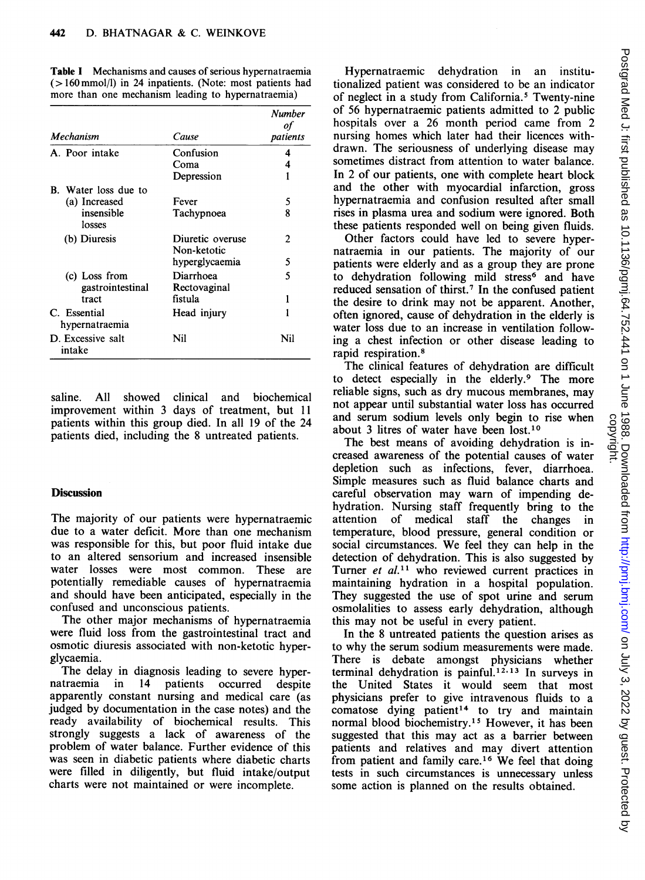Table <sup>I</sup> Mechanisms and causes of serious hypernatraemia (>160mmol/1) in 24 inpatients. (Note: most patients had more than one mechanism leading to hypernatraemia)

| Mechanism                         | Cause                           | Number<br>ot<br>patients |
|-----------------------------------|---------------------------------|--------------------------|
|                                   |                                 |                          |
| Coma                              | 4                               |                          |
| Depression                        |                                 |                          |
| B. Water loss due to              |                                 |                          |
| (a) Increased                     | Fever                           | 5                        |
| insensible<br>losses              | Tachypnoea                      | 8                        |
| (b) Diuresis                      | Diuretic overuse<br>Non-ketotic | 2                        |
|                                   | hyperglycaemia                  | 5                        |
| (c) Loss from<br>gastrointestinal | Diarrhoea<br>Rectovaginal       | 5                        |
| tract                             | fistula                         | 1                        |
| C. Essential<br>hypernatraemia    | Head injury                     |                          |
| D. Excessive salt<br>intake       | Nil                             | Nil                      |

saline. All showed clinical and biochemical improvement within <sup>3</sup> days of treatment, but <sup>11</sup> patients within this group died. In all 19 of the 24 patients died, including the 8 untreated patients.

# **Discussion**

The majority of our patients were hypernatraemic due to a water deficit. More than one mechanism was responsible for this, but poor fluid intake due to an altered sensorium and increased insensible water losses were most common. These are potentially remediable causes of hypernatraemia and should have been anticipated, especially in the confused and unconscious patients.

The other major mechanisms of hypernatraemia were fluid loss from the gastrointestinal tract and osmotic diuresis associated with non-ketotic hyper glycaemia.

The delay in diagnosis leading to severe hyper-<br>natraemia in 14 patients occurred despite natraemia in <sup>14</sup> patients occurred despite apparently constant nursing and medical care (as judged by documentation in the case notes) and the ready availability of biochemical results. This strongly suggests a lack of awareness of the problem of water balance. Further evidence of this was seen in diabetic patients where diabetic charts were filled in diligently, but fluid intake/output charts were not maintained or were incomplete.

Hypernatraemic dehydration in an institutionalized patient was considered to be an indicator of neglect in a study from California.5 Twenty-nine of 56 hypernatraemic patients admitted to 2 public hospitals over <sup>a</sup> 26 month period came from <sup>2</sup> nursing homes which later had their licences withdrawn. The seriousness of underlying disease may sometimes distract from attention to water balance. In 2 of our patients, one with complete heart block and the other with myocardial infarction, gross hypernatraemia and confusion resulted after small rises in plasma urea and sodium were ignored. Both these patients responded well on being given fluids.

Other factors could have led to severe hypernatraemia in our patients. The majority of our patients were elderly and as <sup>a</sup> group they are prone to dehydration following mild stress<sup>6</sup> and have reduced sensation of thirst.7 In the confused patient the desire to drink may not be apparent. Another, often ignored, cause of dehydration in the elderly is water loss due to an increase in ventilation following a chest infection or other disease leading to rapid respiration.<sup>8</sup>

The clinical features of dehydration are difficult to detect especially in the elderly.9 The more reliable signs, such as dry mucous membranes, may not appear until substantial water loss has occurred and serum sodium levels only begin to rise when about 3 litres of water have been lost.10

The best means of avoiding dehydration is increased awareness of the potential causes of water depletion such as infections, fever, diarrhoea. Simple measures such as fluid balance charts and careful observation may warn of impending dehydration. Nursing staff frequently bring to the attention of medical staff the changes in attention of medical staff the changes temperature, blood pressure, general condition or social circumstances. We feel they can help in the detection of dehydration. This is also suggested by Turner et al.<sup>11</sup> who reviewed current practices in maintaining hydration in a hospital population. They suggested the use of spot urine and serum osmolalities to assess early dehydration, although this may not be useful in every patient.

In the <sup>8</sup> untreated patients the question arises as to why the serum sodium measurements were made. There is debate amongst physicians whether terminal dehydration is painful.<sup>12,13</sup> In surveys in the United States it would seem that most physicians prefer to give intravenous fluids to a comatose dying patient'4 to try and maintain normal blood biochemistry.<sup>15</sup> However, it has been suggested that this may act as a barrier between patients and relatives and may divert attention from patient and family care.<sup>16</sup> We feel that doing tests in such circumstances is unnecessary unless some action is planned on the results obtained.